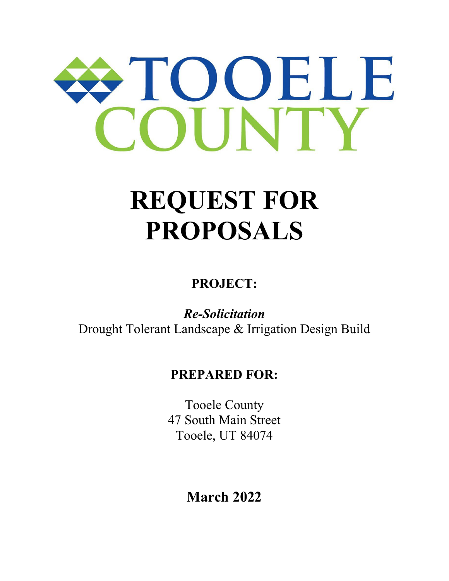# TOOELE

## **REQUEST FOR PROPOSALS**

**PROJECT:**

*Re-Solicitation* Drought Tolerant Landscape & Irrigation Design Build

### **PREPARED FOR:**

Tooele County 47 South Main Street Tooele, UT 84074

**March 2022**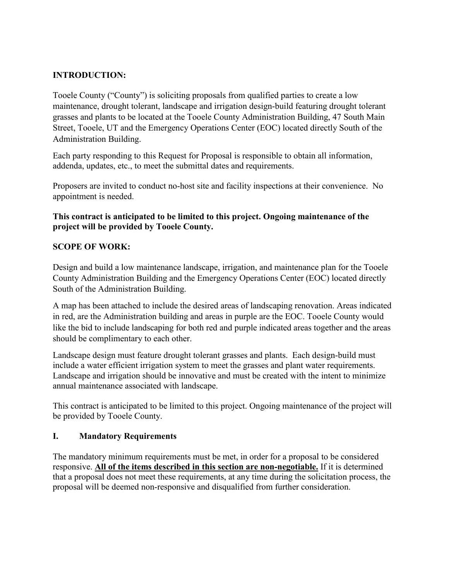#### **INTRODUCTION:**

Tooele County ("County") is soliciting proposals from qualified parties to create a low maintenance, drought tolerant, landscape and irrigation design-build featuring drought tolerant grasses and plants to be located at the Tooele County Administration Building, 47 South Main Street, Tooele, UT and the Emergency Operations Center (EOC) located directly South of the Administration Building.

Each party responding to this Request for Proposal is responsible to obtain all information, addenda, updates, etc., to meet the submittal dates and requirements.

Proposers are invited to conduct no-host site and facility inspections at their convenience. No appointment is needed.

#### **This contract is anticipated to be limited to this project. Ongoing maintenance of the project will be provided by Tooele County.**

#### **SCOPE OF WORK:**

Design and build a low maintenance landscape, irrigation, and maintenance plan for the Tooele County Administration Building and the Emergency Operations Center (EOC) located directly South of the Administration Building.

A map has been attached to include the desired areas of landscaping renovation. Areas indicated in red, are the Administration building and areas in purple are the EOC. Tooele County would like the bid to include landscaping for both red and purple indicated areas together and the areas should be complimentary to each other.

Landscape design must feature drought tolerant grasses and plants. Each design-build must include a water efficient irrigation system to meet the grasses and plant water requirements. Landscape and irrigation should be innovative and must be created with the intent to minimize annual maintenance associated with landscape.

This contract is anticipated to be limited to this project. Ongoing maintenance of the project will be provided by Tooele County.

#### **I. Mandatory Requirements**

The mandatory minimum requirements must be met, in order for a proposal to be considered responsive. **All of the items described in this section are non-negotiable.** If it is determined that a proposal does not meet these requirements, at any time during the solicitation process, the proposal will be deemed non-responsive and disqualified from further consideration.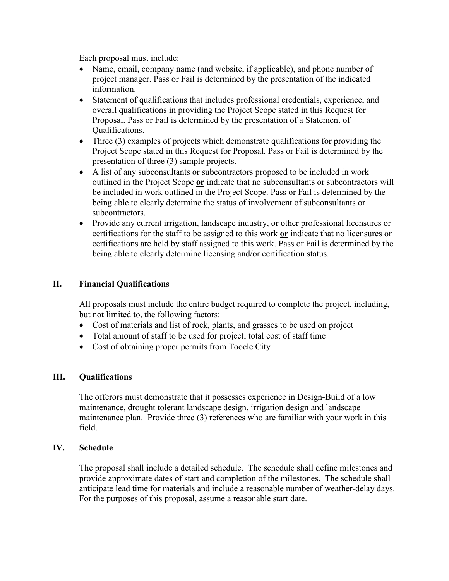Each proposal must include:

- Name, email, company name (and website, if applicable), and phone number of project manager. Pass or Fail is determined by the presentation of the indicated information.
- Statement of qualifications that includes professional credentials, experience, and overall qualifications in providing the Project Scope stated in this Request for Proposal. Pass or Fail is determined by the presentation of a Statement of Qualifications.
- Three (3) examples of projects which demonstrate qualifications for providing the Project Scope stated in this Request for Proposal. Pass or Fail is determined by the presentation of three (3) sample projects.
- A list of any subconsultants or subcontractors proposed to be included in work outlined in the Project Scope **or** indicate that no subconsultants or subcontractors will be included in work outlined in the Project Scope. Pass or Fail is determined by the being able to clearly determine the status of involvement of subconsultants or subcontractors.
- Provide any current irrigation, landscape industry, or other professional licensures or certifications for the staff to be assigned to this work **or** indicate that no licensures or certifications are held by staff assigned to this work. Pass or Fail is determined by the being able to clearly determine licensing and/or certification status.

#### **II. Financial Qualifications**

All proposals must include the entire budget required to complete the project, including, but not limited to, the following factors:

- Cost of materials and list of rock, plants, and grasses to be used on project
- Total amount of staff to be used for project; total cost of staff time
- Cost of obtaining proper permits from Tooele City

#### **III. Qualifications**

The offerors must demonstrate that it possesses experience in Design-Build of a low maintenance, drought tolerant landscape design, irrigation design and landscape maintenance plan. Provide three (3) references who are familiar with your work in this field.

#### **IV. Schedule**

The proposal shall include a detailed schedule. The schedule shall define milestones and provide approximate dates of start and completion of the milestones. The schedule shall anticipate lead time for materials and include a reasonable number of weather-delay days. For the purposes of this proposal, assume a reasonable start date.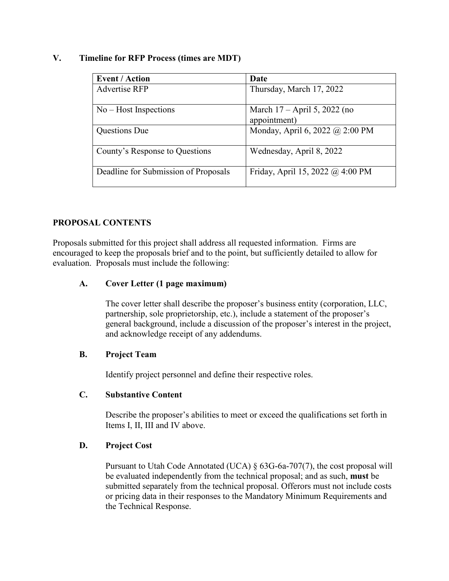#### **V. Timeline for RFP Process (times are MDT)**

| <b>Event / Action</b>                | Date                                           |
|--------------------------------------|------------------------------------------------|
| <b>Advertise RFP</b>                 | Thursday, March 17, 2022                       |
| $No - Host$ Inspections              | March $17 -$ April 5, 2022 (no<br>appointment) |
| <b>Questions Due</b>                 | Monday, April 6, 2022 @ 2:00 PM                |
| County's Response to Questions       | Wednesday, April 8, 2022                       |
| Deadline for Submission of Proposals | Friday, April 15, 2022 @ 4:00 PM               |

#### **PROPOSAL CONTENTS**

Proposals submitted for this project shall address all requested information. Firms are encouraged to keep the proposals brief and to the point, but sufficiently detailed to allow for evaluation. Proposals must include the following:

#### **A. Cover Letter (1 page maximum)**

The cover letter shall describe the proposer's business entity (corporation, LLC, partnership, sole proprietorship, etc.), include a statement of the proposer's general background, include a discussion of the proposer's interest in the project, and acknowledge receipt of any addendums.

#### **B. Project Team**

Identify project personnel and define their respective roles.

#### **C. Substantive Content**

Describe the proposer's abilities to meet or exceed the qualifications set forth in Items I, II, III and IV above.

#### **D. Project Cost**

Pursuant to Utah Code Annotated (UCA) § 63G-6a-707(7), the cost proposal will be evaluated independently from the technical proposal; and as such, **must** be submitted separately from the technical proposal. Offerors must not include costs or pricing data in their responses to the Mandatory Minimum Requirements and the Technical Response.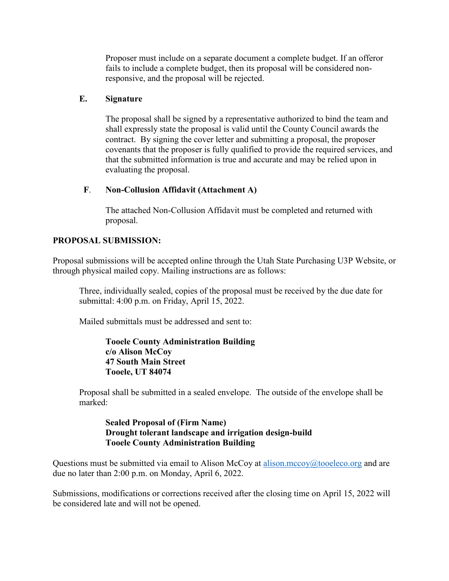Proposer must include on a separate document a complete budget. If an offeror fails to include a complete budget, then its proposal will be considered nonresponsive, and the proposal will be rejected.

#### **E. Signature**

The proposal shall be signed by a representative authorized to bind the team and shall expressly state the proposal is valid until the County Council awards the contract. By signing the cover letter and submitting a proposal, the proposer covenants that the proposer is fully qualified to provide the required services, and that the submitted information is true and accurate and may be relied upon in evaluating the proposal.

#### **F**. **Non-Collusion Affidavit (Attachment A)**

The attached Non-Collusion Affidavit must be completed and returned with proposal.

#### **PROPOSAL SUBMISSION:**

Proposal submissions will be accepted online through the Utah State Purchasing U3P Website, or through physical mailed copy. Mailing instructions are as follows:

Three, individually sealed, copies of the proposal must be received by the due date for submittal: 4:00 p.m. on Friday, April 15, 2022.

Mailed submittals must be addressed and sent to:

**Tooele County Administration Building c/o Alison McCoy 47 South Main Street Tooele, UT 84074**

Proposal shall be submitted in a sealed envelope. The outside of the envelope shall be marked:

#### **Sealed Proposal of (Firm Name) Drought tolerant landscape and irrigation design-build Tooele County Administration Building**

Questions must be submitted via email to Alison McCoy at alison.mccoy $@$ tooeleco.org and are due no later than 2:00 p.m. on Monday, April 6, 2022.

Submissions, modifications or corrections received after the closing time on April 15, 2022 will be considered late and will not be opened.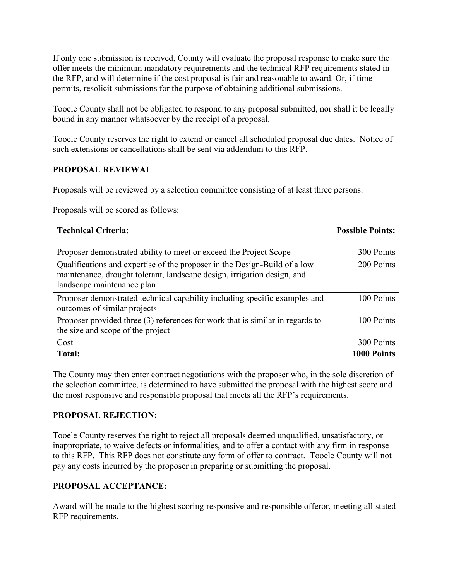If only one submission is received, County will evaluate the proposal response to make sure the offer meets the minimum mandatory requirements and the technical RFP requirements stated in the RFP, and will determine if the cost proposal is fair and reasonable to award. Or, if time permits, resolicit submissions for the purpose of obtaining additional submissions.

Tooele County shall not be obligated to respond to any proposal submitted, nor shall it be legally bound in any manner whatsoever by the receipt of a proposal.

Tooele County reserves the right to extend or cancel all scheduled proposal due dates. Notice of such extensions or cancellations shall be sent via addendum to this RFP.

#### **PROPOSAL REVIEWAL**

Proposals will be reviewed by a selection committee consisting of at least three persons.

Proposals will be scored as follows:

| <b>Technical Criteria:</b>                                                                                                                                                         | <b>Possible Points:</b> |
|------------------------------------------------------------------------------------------------------------------------------------------------------------------------------------|-------------------------|
|                                                                                                                                                                                    |                         |
| Proposer demonstrated ability to meet or exceed the Project Scope                                                                                                                  | 300 Points              |
| Qualifications and expertise of the proposer in the Design-Build of a low<br>maintenance, drought tolerant, landscape design, irrigation design, and<br>landscape maintenance plan | 200 Points              |
| Proposer demonstrated technical capability including specific examples and<br>outcomes of similar projects                                                                         | 100 Points              |
| Proposer provided three (3) references for work that is similar in regards to<br>the size and scope of the project                                                                 | 100 Points              |
| Cost                                                                                                                                                                               | 300 Points              |
| Total:                                                                                                                                                                             | 1000 Points             |

The County may then enter contract negotiations with the proposer who, in the sole discretion of the selection committee, is determined to have submitted the proposal with the highest score and the most responsive and responsible proposal that meets all the RFP's requirements.

#### **PROPOSAL REJECTION:**

Tooele County reserves the right to reject all proposals deemed unqualified, unsatisfactory, or inappropriate, to waive defects or informalities, and to offer a contact with any firm in response to this RFP. This RFP does not constitute any form of offer to contract. Tooele County will not pay any costs incurred by the proposer in preparing or submitting the proposal.

#### **PROPOSAL ACCEPTANCE:**

Award will be made to the highest scoring responsive and responsible offeror, meeting all stated RFP requirements.